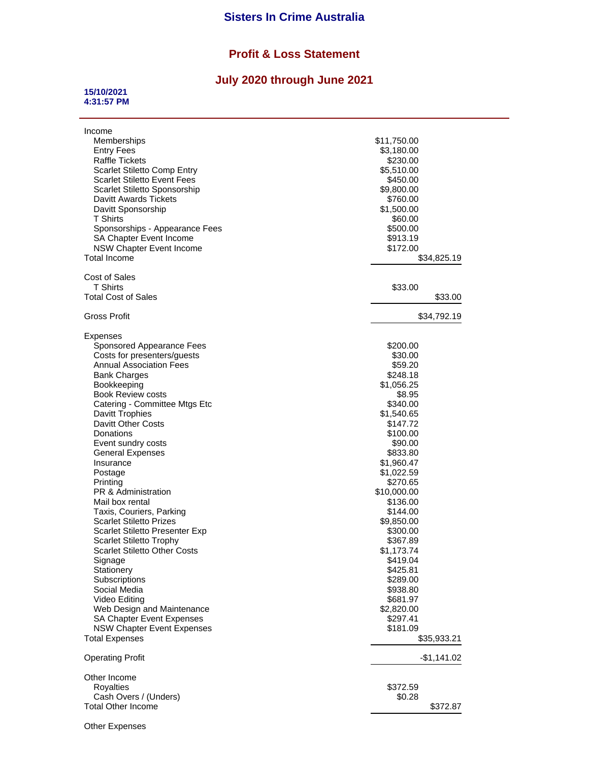## **Sisters In Crime Australia**

## **Profit & Loss Statement**

## **July 2020 through June 2021**

## **15/10/2021 4:31:57 PM**

| Income                                                     |                     |              |
|------------------------------------------------------------|---------------------|--------------|
| Memberships                                                | \$11,750.00         |              |
| <b>Entry Fees</b>                                          | \$3,180.00          |              |
| Raffle Tickets                                             | \$230.00            |              |
| Scarlet Stiletto Comp Entry                                | \$5,510.00          |              |
| <b>Scarlet Stiletto Event Fees</b>                         | \$450.00            |              |
| <b>Scarlet Stiletto Sponsorship</b>                        | \$9,800.00          |              |
| Davitt Awards Tickets                                      | \$760.00            |              |
| Davitt Sponsorship<br><b>T</b> Shirts                      | \$1,500.00          |              |
| Sponsorships - Appearance Fees                             | \$60.00<br>\$500.00 |              |
| SA Chapter Event Income                                    | \$913.19            |              |
| <b>NSW Chapter Event Income</b>                            | \$172.00            |              |
| Total Income                                               |                     | \$34,825.19  |
|                                                            |                     |              |
| <b>Cost of Sales</b>                                       |                     |              |
| T Shirts                                                   | \$33.00             |              |
| Total Cost of Sales                                        |                     | \$33.00      |
| Gross Profit                                               |                     | \$34,792.19  |
| Expenses                                                   |                     |              |
| Sponsored Appearance Fees                                  | \$200.00            |              |
| Costs for presenters/guests                                | \$30.00             |              |
| <b>Annual Association Fees</b>                             | \$59.20             |              |
| <b>Bank Charges</b>                                        | \$248.18            |              |
| Bookkeeping                                                | \$1,056.25          |              |
| <b>Book Review costs</b>                                   | \$8.95              |              |
| Catering - Committee Mtgs Etc                              | \$340.00            |              |
| Davitt Trophies                                            | \$1,540.65          |              |
| <b>Davitt Other Costs</b>                                  | \$147.72            |              |
| Donations                                                  | \$100.00            |              |
| Event sundry costs                                         | \$90.00             |              |
| <b>General Expenses</b>                                    | \$833.80            |              |
| Insurance                                                  | \$1,960.47          |              |
| Postage                                                    | \$1,022.59          |              |
| Printing                                                   | \$270.65            |              |
| PR & Administration                                        | \$10,000.00         |              |
| Mail box rental                                            | \$136.00            |              |
| Taxis, Couriers, Parking                                   | \$144.00            |              |
| <b>Scarlet Stiletto Prizes</b>                             | \$9,850.00          |              |
| <b>Scarlet Stiletto Presenter Exp</b>                      | \$300.00            |              |
| <b>Scarlet Stiletto Trophy</b>                             | \$367.89            |              |
| <b>Scarlet Stiletto Other Costs</b>                        | \$1,173.74          |              |
| Signage                                                    | \$419.04            |              |
| Stationery                                                 | \$425.81            |              |
| Subscriptions                                              | \$289.00            |              |
| Social Media                                               | \$938.80            |              |
| Video Editing                                              | \$681.97            |              |
| Web Design and Maintenance                                 | \$2,820.00          |              |
| SA Chapter Event Expenses                                  | \$297.41            |              |
|                                                            | \$181.09            |              |
| <b>NSW Chapter Event Expenses</b><br><b>Total Expenses</b> |                     | \$35,933.21  |
|                                                            |                     |              |
| <b>Operating Profit</b>                                    |                     | $-$1,141.02$ |
| Other Income                                               |                     |              |
| Royalties                                                  | \$372.59            |              |
| Cash Overs / (Unders)                                      | \$0.28              |              |
| <b>Total Other Income</b>                                  |                     | \$372.87     |
|                                                            |                     |              |

Other Expenses